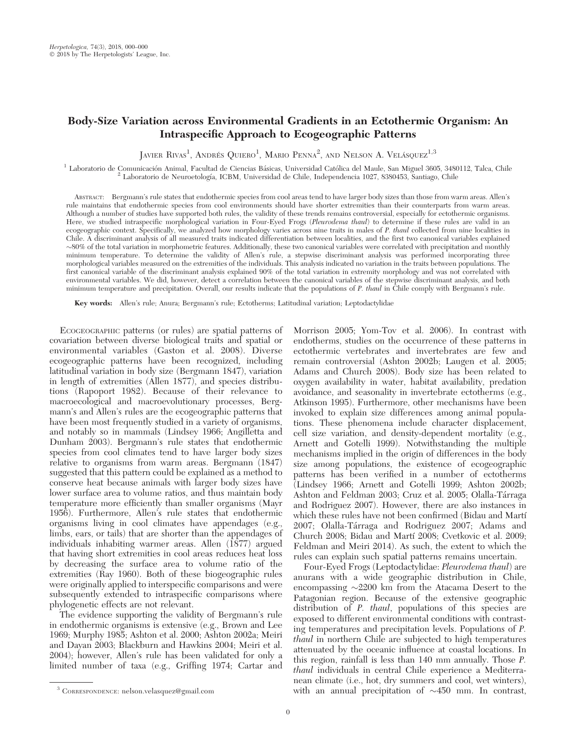# Body-Size Variation across Environmental Gradients in an Ectothermic Organism: An Intraspecific Approach to Ecogeographic Patterns

JAVIER RIVAS<sup>1</sup>, ANDRÉS QUIERO<sup>1</sup>, MARIO PENNA<sup>2</sup>, AND NELSON A. VELÁSQUEZ<sup>1,3</sup>

 $^1$  Laboratorio de Comunicación Animal, Facultad de Ciencias Básicas, Universidad Católica del Maule, San Miguel 3605, 3480112, Talca, Chile  $^2$  Laboratorio de Neuroetología, ICBM, Universidad de Chile, Independencia 10

ABSTRACT: Bergmann's rule states that endothermic species from cool areas tend to have larger body sizes than those from warm areas. Allen's rule maintains that endothermic species from cool environments should have shorter extremities than their counterparts from warm areas. Although a number of studies have supported both rules, the validity of these trends remains controversial, especially for ectothermic organisms. Here, we studied intraspecific morphological variation in Four-Eyed Frogs (Pleurodema thaul) to determine if these rules are valid in an ecogeographic context. Specifically, we analyzed how morphology varies across nine traits in males of P. thaul collected from nine localities in Chile. A discriminant analysis of all measured traits indicated differentiation between localities, and the first two canonical variables explained  $\sim$ 80% of the total variation in morphometric features. Additionally, these two canonical variables were correlated with precipitation and monthly minimum temperature. To determine the validity of Allen's rule, a stepwise discriminant analysis was performed incorporating three morphological variables measured on the extremities of the individuals. This analysis indicated no variation in the traits between populations. The first canonical variable of the discriminant analysis explained 90% of the total variation in extremity morphology and was not correlated with environmental variables. We did, however, detect a correlation between the canonical variables of the stepwise discriminant analysis, and both minimum temperature and precipitation. Overall, our results indicate that the populations of P. thaul in Chile comply with Bergmann's rule.

Key words: Allen's rule; Anura; Bergmann's rule; Ectotherms; Latitudinal variation; Leptodactylidae

ECOGEOGRAPHIC patterns (or rules) are spatial patterns of covariation between diverse biological traits and spatial or environmental variables (Gaston et al. 2008). Diverse ecogeographic patterns have been recognized, including latitudinal variation in body size (Bergmann 1847), variation in length of extremities (Allen 1877), and species distributions (Rapoport 1982). Because of their relevance to macroecological and macroevolutionary processes, Bergmann's and Allen's rules are the ecogeographic patterns that have been most frequently studied in a variety of organisms, and notably so in mammals (Lindsey 1966; Angilletta and Dunham 2003). Bergmann's rule states that endothermic species from cool climates tend to have larger body sizes relative to organisms from warm areas. Bergmann (1847) suggested that this pattern could be explained as a method to conserve heat because animals with larger body sizes have lower surface area to volume ratios, and thus maintain body temperature more efficiently than smaller organisms (Mayr 1956). Furthermore, Allen's rule states that endothermic organisms living in cool climates have appendages (e.g., limbs, ears, or tails) that are shorter than the appendages of individuals inhabiting warmer areas. Allen  $(1877)$  argued that having short extremities in cool areas reduces heat loss by decreasing the surface area to volume ratio of the extremities (Ray 1960). Both of these biogeographic rules were originally applied to interspecific comparisons and were subsequently extended to intraspecific comparisons where phylogenetic effects are not relevant.

The evidence supporting the validity of Bergmann's rule in endothermic organisms is extensive (e.g., Brown and Lee 1969; Murphy 1985; Ashton et al. 2000; Ashton 2002a; Meiri and Dayan 2003; Blackburn and Hawkins 2004; Meiri et al. 2004); however, Allen's rule has been validated for only a limited number of taxa (e.g., Griffing 1974; Cartar and Morrison 2005; Yom-Tov et al. 2006). In contrast with endotherms, studies on the occurrence of these patterns in ectothermic vertebrates and invertebrates are few and remain controversial (Ashton 2002b; Laugen et al. 2005; Adams and Church 2008). Body size has been related to oxygen availability in water, habitat availability, predation avoidance, and seasonality in invertebrate ectotherms (e.g., Atkinson 1995). Furthermore, other mechanisms have been invoked to explain size differences among animal populations. These phenomena include character displacement, cell size variation, and density-dependent mortality (e.g., Arnett and Gotelli 1999). Notwithstanding the multiple mechanisms implied in the origin of differences in the body size among populations, the existence of ecogeographic patterns has been verified in a number of ectotherms (Lindsey 1966; Arnett and Gotelli 1999; Ashton 2002b; Ashton and Feldman 2003; Cruz et al. 2005; Olalla-Tárraga and Rodriguez 2007). However, there are also instances in which these rules have not been confirmed (Bidau and Martí 2007; Olalla-Tárraga and Rodriguez 2007; Adams and Church 2008; Bidau and Martí 2008; Cvetkovic et al. 2009; Feldman and Meiri 2014). As such, the extent to which the rules can explain such spatial patterns remains uncertain.

Four-Eyed Frogs (Leptodactylidae: Pleurodema thaul) are anurans with a wide geographic distribution in Chile, encompassing  $\sim$ 2200 km from the Atacama Desert to the Patagonian region. Because of the extensive geographic distribution of *P. thaul*, populations of this species are exposed to different environmental conditions with contrasting temperatures and precipitation levels. Populations of P. thaul in northern Chile are subjected to high temperatures attenuated by the oceanic influence at coastal locations. In this region, rainfall is less than 140 mm annually. Those P. thaul individuals in central Chile experience a Mediterranean climate (i.e., hot, dry summers and cool, wet winters),  $3$  CORRESPONDENCE: nelson.velasquez@gmail.com with an annual precipitation of  $\sim$ 450 mm. In contrast,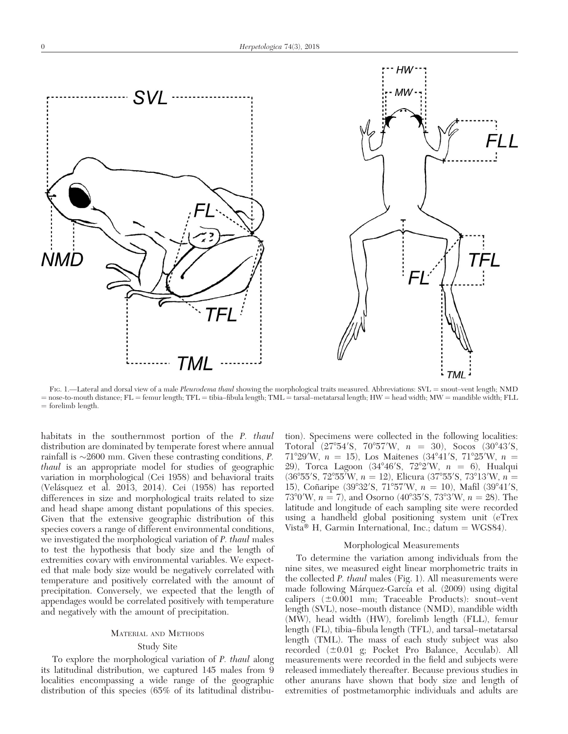

FIG. 1.—Lateral and dorsal view of a male *Pleurodema thaul* showing the morphological traits measured. Abbreviations: SVL = snout–vent length; NMD = nose-to-mouth distance; FL = femur length; TFL = tibia–fibula length; TML = tarsal–metatarsal length; HW = head width; MW = mandible width; FLL  $=$  forelimb length.

habitats in the southernmost portion of the P. thaul distribution are dominated by temperate forest where annual rainfall is  $\sim$ 2600 mm. Given these contrasting conditions, P. thaul is an appropriate model for studies of geographic variation in morphological (Cei 1958) and behavioral traits (Velásquez et al. 2013, 2014). Cei (1958) has reported differences in size and morphological traits related to size and head shape among distant populations of this species. Given that the extensive geographic distribution of this species covers a range of different environmental conditions, we investigated the morphological variation of P. thaul males to test the hypothesis that body size and the length of extremities covary with environmental variables. We expected that male body size would be negatively correlated with temperature and positively correlated with the amount of precipitation. Conversely, we expected that the length of appendages would be correlated positively with temperature and negatively with the amount of precipitation.

# MATERIAL AND METHODS

# Study Site

To explore the morphological variation of P. thaul along its latitudinal distribution, we captured 145 males from 9 localities encompassing a wide range of the geographic distribution of this species (65% of its latitudinal distribution). Specimens were collected in the following localities: Totoral  $(27^{\circ}54^{\prime}S, 70^{\circ}57^{\prime}W, n = 30)$ , Socos  $(30^{\circ}43^{\prime}S,$  $71^{\circ}29'W$ ,  $n = 15$ ), Los Maitenes (34°41′S, 71°25′W,  $n =$ 29), Torca Lagoon (34°46′S, 72°2′W,  $n = 6$ ), Hualqui  $(36^{\circ}55^{\prime}S, 72^{\circ}55^{\prime}W, n = 12)$ , Elicura  $(37^{\circ}55^{\prime}S, 73^{\circ}13^{\prime}W, n =$ 15), Coñaripe (39°32′S, 71°57′W,  $n = 10$ ), Mafil (39°41′S,  $73^{\circ}0'$ W,  $n = 7$ ), and Osorno (40°35′S, 73°3′W,  $n = 28$ ). The latitude and longitude of each sampling site were recorded using a handheld global positioning system unit (eTrex Vista<sup>®</sup> H, Garmin International, Inc.; datum = WGS84).

# Morphological Measurements

To determine the variation among individuals from the nine sites, we measured eight linear morphometric traits in the collected P. thaul males (Fig. 1). All measurements were made following Márquez-García et al. (2009) using digital calipers  $(\pm 0.001 \text{ mm}; \text{Traceable Products})$ : snout–vent length (SVL), nose–mouth distance (NMD), mandible width (MW), head width (HW), forelimb length (FLL), femur length (FL), tibia–fibula length (TFL), and tarsal–metatarsal length (TML). The mass of each study subject was also recorded  $(\pm 0.01 \text{ g}; \text{ Pocket Pro Balance}, \text{Acculab})$ . All measurements were recorded in the field and subjects were released immediately thereafter. Because previous studies in other anurans have shown that body size and length of extremities of postmetamorphic individuals and adults are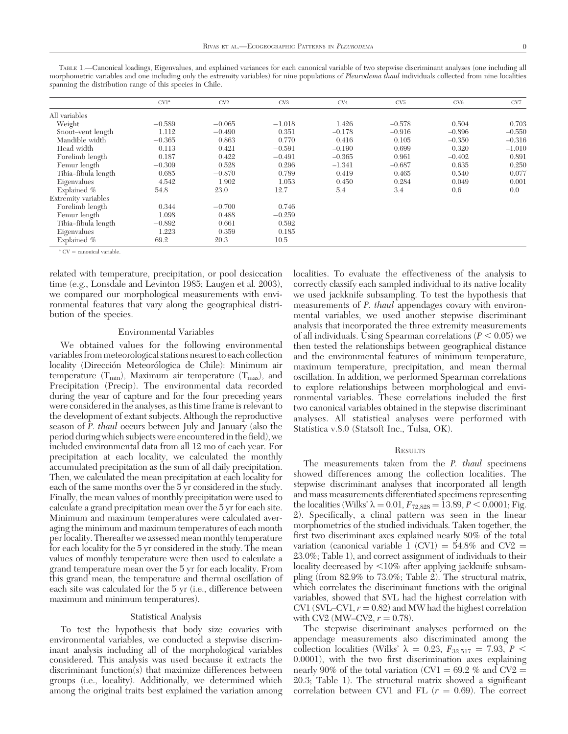|                     | CV1 <sup>a</sup> | CV2      | CV <sub>3</sub> | CV4      | CV <sub>5</sub> | CV <sub>6</sub> | CV7      |
|---------------------|------------------|----------|-----------------|----------|-----------------|-----------------|----------|
| All variables       |                  |          |                 |          |                 |                 |          |
| Weight              | $-0.589$         | $-0.065$ | $-1.018$        | 1.426    | $-0.578$        | 0.504           | 0.703    |
| Snout-vent length   | 1.112            | $-0.490$ | 0.351           | $-0.178$ | $-0.916$        | $-0.896$        | $-0.550$ |
| Mandible width      | $-0.365$         | 0.863    | 0.770           | 0.416    | 0.105           | $-0.350$        | $-0.316$ |
| Head width          | 0.113            | 0.421    | $-0.591$        | $-0.190$ | 0.699           | 0.320           | $-1.010$ |
| Forelimb length     | 0.187            | 0.422    | $-0.491$        | $-0.365$ | 0.961           | $-0.402$        | 0.891    |
| Femur length        | $-0.309$         | 0.528    | 0.296           | $-1.341$ | $-0.687$        | 0.635           | 0.250    |
| Tibia-fibula length | 0.685            | $-0.870$ | 0.789           | 0.419    | 0.465           | 0.540           | 0.077    |
| Eigenvalues         | 4.542            | 1.902    | 1.053           | 0.450    | 0.284           | 0.049           | 0.001    |
| Explained $%$       | 54.8             | 23.0     | 12.7            | 5.4      | 3.4             | 0.6             | 0.0      |
| Extremity variables |                  |          |                 |          |                 |                 |          |
| Forelimb length     | 0.344            | $-0.700$ | 0.746           |          |                 |                 |          |
| Femur length        | 1.098            | 0.488    | $-0.259$        |          |                 |                 |          |
| Tibia-fibula length | $-0.892$         | 0.661    | 0.592           |          |                 |                 |          |
| Eigenvalues         | 1.223            | 0.359    | 0.185           |          |                 |                 |          |
| Explained %         | 69.2             | 20.3     | 10.5            |          |                 |                 |          |
|                     |                  |          |                 |          |                 |                 |          |

TABLE 1.—Canonical loadings, Eigenvalues, and explained variances for each canonical variable of two stepwise discriminant analyses (one including all morphometric variables and one including only the extremity variables) for nine populations of Pleurodema thaul individuals collected from nine localities spanning the distribution range of this species in Chile.

 $^{\rm a}$  CV = canonical variable.

related with temperature, precipitation, or pool desiccation time (e.g., Lonsdale and Levinton 1985; Laugen et al. 2003), we compared our morphological measurements with environmental features that vary along the geographical distribution of the species.

#### Environmental Variables

We obtained values for the following environmental variables from meteorological stations nearest to each collection locality (Dirección Meteorólogica de Chile): Minimum air temperature  $(T_{min})$ , Maximum air temperature  $(T_{max})$ , and Precipitation (Precip). The environmental data recorded during the year of capture and for the four preceding years were considered in the analyses, as this time frame is relevant to the development of extant subjects. Although the reproductive season of P. thaul occurs between July and January (also the period during which subjects were encountered in the field), we included environmental data from all 12 mo of each year. For precipitation at each locality, we calculated the monthly accumulated precipitation as the sum of all daily precipitation. Then, we calculated the mean precipitation at each locality for each of the same months over the 5 yr considered in the study. Finally, the mean values of monthly precipitation were used to calculate a grand precipitation mean over the 5 yr for each site. Minimum and maximum temperatures were calculated averaging the minimum and maximum temperatures of each month per locality. Thereafter we assessed mean monthly temperature for each locality for the 5 yr considered in the study. The mean values of monthly temperature were then used to calculate a grand temperature mean over the 5 yr for each locality. From this grand mean, the temperature and thermal oscillation of each site was calculated for the 5 yr (i.e., difference between maximum and minimum temperatures).

### Statistical Analysis

To test the hypothesis that body size covaries with environmental variables, we conducted a stepwise discriminant analysis including all of the morphological variables considered. This analysis was used because it extracts the discriminant function(s) that maximize differences between groups (i.e., locality). Additionally, we determined which among the original traits best explained the variation among

localities. To evaluate the effectiveness of the analysis to correctly classify each sampled individual to its native locality we used jackknife subsampling. To test the hypothesis that measurements of *P. thaul* appendages covary with environmental variables, we used another stepwise discriminant analysis that incorporated the three extremity measurements of all individuals. Using Spearman correlations ( $P < 0.05$ ) we then tested the relationships between geographical distance and the environmental features of minimum temperature, maximum temperature, precipitation, and mean thermal oscillation. In addition, we performed Spearman correlations to explore relationships between morphological and environmental variables. These correlations included the first two canonical variables obtained in the stepwise discriminant analyses. All statistical analyses were performed with Statistica v.8.0 (Statsoft Inc., Tulsa, OK).

### **RESULTS**

The measurements taken from the *P. thaul* specimens showed differences among the collection localities. The stepwise discriminant analyses that incorporated all length and mass measurements differentiated specimens representing the localities (Wilks'  $\lambda = 0.01$ ,  $F_{72,828} = 13.89$ ,  $P < 0.0001$ ; Fig. 2). Specifically, a clinal pattern was seen in the linear morphometrics of the studied individuals. Taken together, the first two discriminant axes explained nearly 80% of the total variation (canonical variable 1 (CV1) =  $54.8\%$  and CV2 = 23.0%; Table 1), and correct assignment of individuals to their locality decreased by  $\leq 10\%$  after applying jackknife subsampling (from 82.9% to 73.0%; Table 2). The structural matrix, which correlates the discriminant functions with the original variables, showed that SVL had the highest correlation with CV1 (SVL–CV1,  $r = 0.82$ ) and MW had the highest correlation with CV2 (MW–CV2,  $r = 0.78$ ).

The stepwise discriminant analyses performed on the appendage measurements also discriminated among the collection localities (Wilks'  $\lambda = 0.23$ ,  $F_{32,517} = 7.93$ ,  $P <$ 0.0001), with the two first discrimination axes explaining nearly 90% of the total variation (CV1 = 69.2 % and CV2 = 20.3; Table 1). The structural matrix showed a significant correlation between CV1 and FL  $(r = 0.69)$ . The correct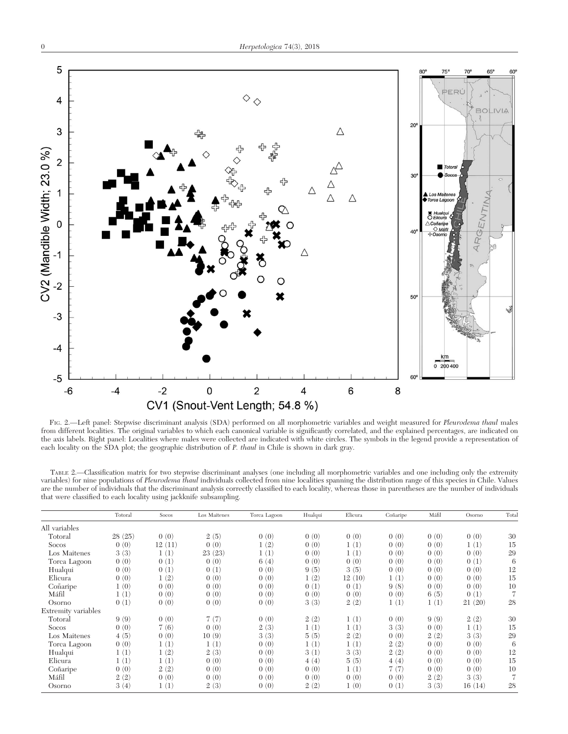

FIG. 2.-Left panel: Stepwise discriminant analysis (SDA) performed on all morphometric variables and weight measured for Pleurodema thaul males from different localities. The original variables to which each canonical variable is significantly correlated, and the explained percentages, are indicated on the axis labels. Right panel: Localities where males were collected are indicated with white circles. The symbols in the legend provide a representation of each locality on the SDA plot; the geographic distribution of P. thaul in Chile is shown in dark gray.

TABLE 2.—Classification matrix for two stepwise discriminant analyses (one including all morphometric variables and one including only the extremity variables) for nine populations of Pleurodema thaul individuals collected from nine localities spanning the distribution range of this species in Chile. Values are the number of individuals that the discriminant analysis correctly classified to each locality, whereas those in parentheses are the number of individuals that were classified to each locality using jackknife subsampling.

|                     | Totoral | Socos  | Los Maitenes | Torca Lagoon | Hualqui | Elicura | Coñaripe | Máfil | Osorno | Total |
|---------------------|---------|--------|--------------|--------------|---------|---------|----------|-------|--------|-------|
| All variables       |         |        |              |              |         |         |          |       |        |       |
| Totoral             | 28(25)  | 0(0)   | 2(5)         | 0(0)         | 0(0)    | 0(0)    | 0(0)     | 0(0)  | 0(0)   | 30    |
| <b>Socos</b>        | 0(0)    | 12(11) | 0(0)         | 1(2)         | 0(0)    | 1(1)    | 0(0)     | 0(0)  | 1(1)   | 15    |
| Los Maitenes        | 3(3)    | 1(1)   | 23(23)       | 1(1)         | 0(0)    | 1(1)    | 0(0)     | 0(0)  | 0(0)   | 29    |
| Torca Lagoon        | 0(0)    | 0(1)   | 0(0)         | 6(4)         | 0(0)    | 0(0)    | 0(0)     | 0(0)  | 0(1)   | 6     |
| Hualqui             | 0(0)    | 0(1)   | 0(1)         | 0(0)         | 9(5)    | 3(5)    | 0(0)     | 0(0)  | 0(0)   | 12    |
| Elicura             | 0(0)    | 1(2)   | 0(0)         | 0(0)         | 1(2)    | 12(10)  | 1(1)     | 0(0)  | 0(0)   | 15    |
| Coñaripe            | 1(0)    | 0(0)   | 0(0)         | 0(0)         | 0(1)    | 0(1)    | 9(8)     | 0(0)  | 0(0)   | 10    |
| Máfil               | 1(1)    | 0(0)   | 0(0)         | 0(0)         | 0(0)    | 0(0)    | 0(0)     | 6(5)  | 0(1)   | 7     |
| Osorno              | 0(1)    | 0(0)   | 0(0)         | 0(0)         | 3(3)    | 2(2)    | 1(1)     | 1(1)  | 21(20) | 28    |
| Extremity variables |         |        |              |              |         |         |          |       |        |       |
| Totoral             | 9(9)    | 0(0)   | 7(7)         | 0(0)         | 2(2)    | 1(1)    | 0(0)     | 9(9)  | 2(2)   | 30    |
| <b>Socos</b>        | 0(0)    | 7(6)   | 0(0)         | 2(3)         | 1(1)    | 1(1)    | 3(3)     | 0(0)  | 1(1)   | 15    |
| Los Maitenes        | 4(5)    | 0(0)   | 10(9)        | 3(3)         | 5(5)    | 2(2)    | 0(0)     | 2(2)  | 3(3)   | 29    |
| Torca Lagoon        | 0(0)    | 1(1)   | 1(1)         | 0(0)         | 1(1)    | 1(1)    | 2(2)     | 0(0)  | 0(0)   | 6     |
| Hualqui             | 1(1)    | 1(2)   | 2(3)         | 0(0)         | 3(1)    | 3(3)    | 2(2)     | 0(0)  | 0(0)   | 12    |
| Elicura             | 1(1)    | 1(1)   | 0(0)         | 0(0)         | 4(4)    | 5(5)    | 4(4)     | 0(0)  | 0(0)   | 15    |
| Coñaripe            | 0(0)    | 2(2)   | 0(0)         | 0(0)         | 0(0)    | 1(1)    | 7(7)     | 0(0)  | 0(0)   | 10    |
| Máfil               | 2(2)    | 0(0)   | 0(0)         | 0(0)         | 0(0)    | 0(0)    | 0(0)     | 2(2)  | 3(3)   | 7     |
| Osorno              | 3(4)    | 1(1)   | 2(3)         | 0(0)         | 2(2)    | 1(0)    | 0(1)     | 3(3)  | 16(14) | 28    |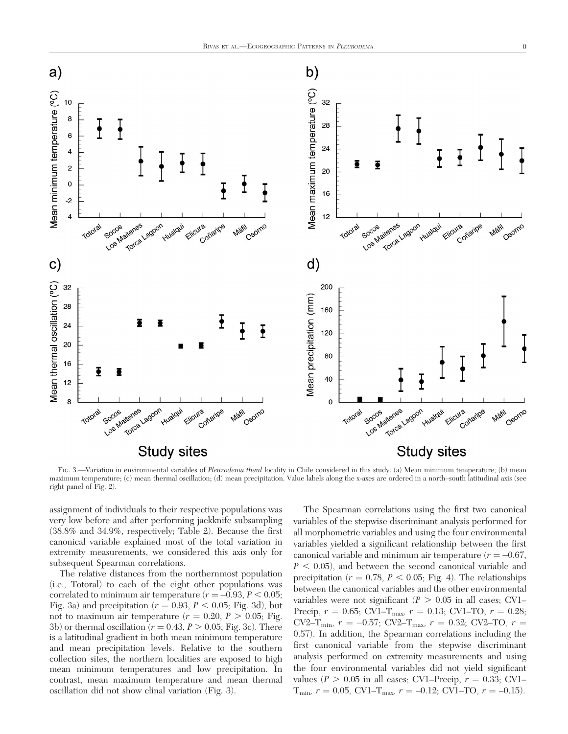

FIG. 3.—Variation in environmental variables of Pleurodema thaul locality in Chile considered in this study. (a) Mean minimum temperature; (b) mean maximum temperature; (c) mean thermal oscillation; (d) mean precipitation. Value labels along the x-axes are ordered in a north–south latitudinal axis (see right panel of Fig. 2).

assignment of individuals to their respective populations was very low before and after performing jackknife subsampling (38.8% and 34.9%, respectively; Table 2). Because the first canonical variable explained most of the total variation in extremity measurements, we considered this axis only for subsequent Spearman correlations.

The relative distances from the northernmost population (i.e., Totoral) to each of the eight other populations was correlated to minimum air temperature ( $r = -0.93, P < 0.05;$ Fig. 3a) and precipitation ( $r = 0.93$ ,  $P < 0.05$ ; Fig. 3d), but not to maximum air temperature  $(r = 0.20, P > 0.05;$  Fig. 3b) or thermal oscillation ( $r = 0.43$ ,  $P > 0.05$ ; Fig. 3c). There is a latitudinal gradient in both mean minimum temperature and mean precipitation levels. Relative to the southern collection sites, the northern localities are exposed to high mean minimum temperatures and low precipitation. In contrast, mean maximum temperature and mean thermal oscillation did not show clinal variation (Fig. 3).

The Spearman correlations using the first two canonical variables of the stepwise discriminant analysis performed for all morphometric variables and using the four environmental variables yielded a significant relationship between the first canonical variable and minimum air temperature ( $r = -0.67$ ,  $P < 0.05$ ), and between the second canonical variable and precipitation ( $r = 0.78$ ,  $P < 0.05$ ; Fig. 4). The relationships between the canonical variables and the other environmental variables were not significant ( $P > 0.05$  in all cases; CV1– Precip,  $r = 0.65$ ; CV1–T<sub>max</sub>,  $r = 0.13$ ; CV1–TO,  $r = 0.28$ ; CV2–T<sub>min</sub>,  $r = -0.57$ ; CV2–T<sub>max</sub>,  $r = 0.32$ ; CV2–TO,  $r =$ 0.57). In addition, the Spearman correlations including the first canonical variable from the stepwise discriminant analysis performed on extremity measurements and using the four environmental variables did not yield significant values ( $P > 0.05$  in all cases; CV1–Precip,  $r = 0.33$ ; CV1–  $T_{\text{min}}$ ,  $r = 0.05$ , CV1– $T_{\text{max}}$ ,  $r = -0.12$ ; CV1–TO,  $r = -0.15$ ).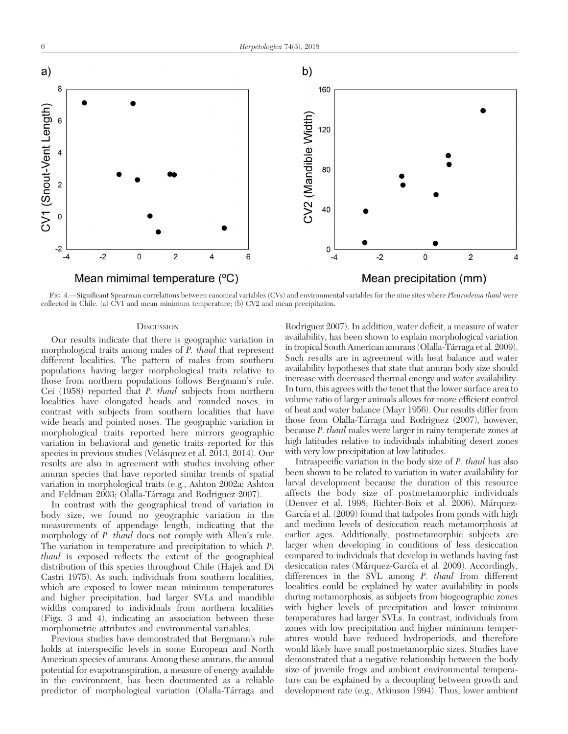

FIG. 4.—Significant Spearman correlations between canonical variables (CVs) and environmental variables for the nine sites where Pleurodema thaul were collected in Chile. (a) CV1 and mean minimum temperature; (b) CV2 and mean precipitation.

## **DISCUSSION**

Our results indicate that there is geographic variation in morphological traits among males of P. thaul that represent different localities. The pattern of males from southern populations having larger morphological traits relative to those from northern populations follows Bergmann's rule. Cei (1958) reported that P. thaul subjects from northern localities have elongated heads and rounded noses, in contrast with subjects from southern localities that have wide heads and pointed noses. The geographic variation in morphological traits reported here mirrors geographic variation in behavioral and genetic traits reported for this species in previous studies (Velásquez et al. 2013, 2014). Our results are also in agreement with studies involving other anuran species that have reported similar trends of spatial variation in morphological traits (e.g., Ashton 2002a; Ashton and Feldman 2003; Olalla-Tárraga and Rodriguez 2007).

In contrast with the geographical trend of variation in body size, we found no geographic variation in the measurements of appendage length, indicating that the morphology of P. thaul does not comply with Allen's rule. The variation in temperature and precipitation to which P. thaul is exposed reflects the extent of the geographical distribution of this species throughout Chile (Hajek and Di Castri 1975). As such, individuals from southern localities, which are exposed to lower mean minimum temperatures and higher precipitation, had larger SVLs and mandible widths compared to individuals from northern localities (Figs. 3 and 4), indicating an association between these morphometric attributes and environmental variables.

Previous studies have demonstrated that Bergmann's rule holds at interspecific levels in some European and North American species of anurans. Among these anurans, the annual potential for evapotranspiration, a measure of energy available in the environment, has been documented as a reliable predictor of morphological variation (Olalla-Tárraga and

Rodriguez 2007). In addition, water deficit, a measure of water availability, has been shown to explain morphological variation in tropical South American anurans (Olalla-Tárraga et al. 2009). Such results are in agreement with heat balance and water availability hypotheses that state that anuran body size should increase with decreased thermal energy and water availability. In turn, this agrees with the tenet that the lower surface area to volume ratio of larger animals allows for more efficient control of heat and water balance (Mayr 1956). Our results differ from those from Olalla-Ta´rraga and Rodriguez (2007), however, because P. thaul males were larger in rainy temperate zones at high latitudes relative to individuals inhabiting desert zones with very low precipitation at low latitudes.

Intraspecific variation in the body size of P. thaul has also been shown to be related to variation in water availability for larval development because the duration of this resource affects the body size of postmetamorphic individuals (Denver et al. 1998; Richter-Boix et al. 2006). Márquez-García et al. (2009) found that tadpoles from ponds with high and medium levels of desiccation reach metamorphosis at earlier ages. Additionally, postmetamorphic subjects are larger when developing in conditions of less desiccation compared to individuals that develop in wetlands having fast desiccation rates (Márquez-García et al. 2009). Accordingly, differences in the SVL among P. thaul from different localities could be explained by water availability in pools during metamorphosis, as subjects from biogeographic zones with higher levels of precipitation and lower minimum temperatures had larger SVLs. In contrast, individuals from zones with low precipitation and higher minimum temperatures would have reduced hydroperiods, and therefore would likely have small postmetamorphic sizes. Studies have demonstrated that a negative relationship between the body size of juvenile frogs and ambient environmental temperature can be explained by a decoupling between growth and development rate (e.g., Atkinson 1994). Thus, lower ambient